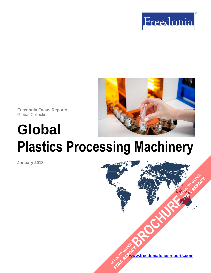



**Freedonia Focus Reports** Global Collection

**Global**

# **Plastics Processing Machinery**

**January 2018**

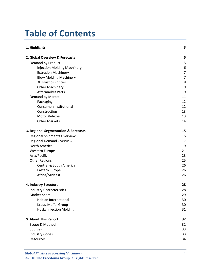# **Table of Contents**

| 1. Highlights                        | 3  |
|--------------------------------------|----|
| 2. Global Overview & Forecasts       | 5  |
| Demand by Product                    | 5  |
| <b>Injection Molding Machinery</b>   | 6  |
| <b>Extrusion Machinery</b>           | 7  |
| <b>Blow Molding Machinery</b>        | 7  |
| <b>3D Plastics Printers</b>          | 8  |
| <b>Other Machinery</b>               | 9  |
| Aftermarket Parts                    | 9  |
| Demand by Market                     | 11 |
| Packaging                            | 12 |
| Consumer/Institutional               | 12 |
| Construction                         | 13 |
| <b>Motor Vehicles</b>                | 13 |
| <b>Other Markets</b>                 | 14 |
| 3. Regional Segmentation & Forecasts | 15 |
| Regional Shipments Overview          | 15 |
| <b>Regional Demand Overview</b>      | 17 |
| North America                        | 19 |
| Western Europe                       | 21 |
| Asia/Pacific                         | 23 |
| <b>Other Regions</b>                 | 25 |
| <b>Central &amp; South America</b>   | 26 |
| Eastern Europe                       | 26 |
| Africa/Mideast                       | 26 |
| 4. Industry Structure                | 28 |
| <b>Industry Characteristics</b>      | 28 |
| Market Share                         | 29 |
| Haitian International                | 30 |
| KraussMaffei Group                   | 30 |
| <b>Husky Injection Molding</b>       | 31 |
| 5. About This Report                 | 32 |
| Scope & Method                       | 32 |
| Sources                              | 33 |
| <b>Industry Codes</b>                | 33 |
| Resources                            | 34 |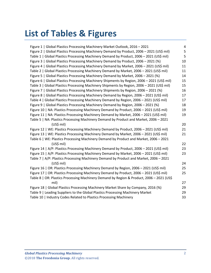# **List of Tables & Figures**

| Figure 1   Global Plastics Processing Machinery Market Outlook, 2016 - 2021                 | 4  |
|---------------------------------------------------------------------------------------------|----|
| Figure 2   Global Plastics Processing Machinery Demand by Product, 2006 - 2021 (US\$ mil)   | 5  |
| Table 1   Global Plastics Processing Machinery Demand by Product, 2006 - 2021 (US\$ mil)    | 5  |
| Figure 3   Global Plastics Processing Machinery Demand by Product, 2006 - 2021 (%)          | 10 |
| Figure 4   Global Plastics Processing Machinery Demand by Market, 2006 - 2021 (US\$ mil)    | 11 |
| Table 2   Global Plastics Processing Machinery Demand by Market, 2006 - 2021 (US\$ mil)     | 11 |
| Figure 5   Global Plastics Processing Machinery Demand by Market, 2006 - 2021 (%)           | 14 |
| Figure 6   Global Plastics Processing Machinery Shipments by Region, 2006 - 2021 (US\$ mil) | 15 |
| Table 3   Global Plastics Processing Machinery Shipments by Region, 2006 - 2021 (US\$ mil)  | 15 |
| Figure 7   Global Plastics Processing Machinery Shipments by Region, 2006 - 2021 (%)        | 16 |
| Figure 8   Global Plastics Processing Machinery Demand by Region, 2006 - 2021 (US\$ mil)    | 17 |
| Table 4   Global Plastics Processing Machinery Demand by Region, 2006 - 2021 (US\$ mil)     | 17 |
| Figure 9   Global Plastics Processing Machinery Demand by Region, 2006 - 2021 (%)           | 18 |
| Figure 10   NA: Plastics Processing Machinery Demand by Product, 2006 - 2021 (US\$ mil)     | 19 |
| Figure 11   NA: Plastics Processing Machinery Demand by Market, 2006 - 2021 (US\$ mil)      | 19 |
| Table 5   NA: Plastics Processing Machinery Demand by Product and Market, 2006 - 2021       |    |
| (US\$ mil)                                                                                  | 20 |
| Figure 12   WE: Plastics Processing Machinery Demand by Product, 2006 - 2021 (US\$ mil)     | 21 |
| Figure 13   WE: Plastics Processing Machinery Demand by Market, 2006 - 2021 (US\$ mil)      | 21 |
| Table 6   WE: Plastics Processing Machinery Demand by Product and Market, 2006 - 2021       |    |
| (US\$ mil)                                                                                  | 22 |
| Figure 14   A/P: Plastics Processing Machinery Demand by Product, 2006 - 2021 (US\$ mil)    | 23 |
| Figure 15   A/P: Plastics Processing Machinery Demand by Market, 2006 - 2021 (US\$ mil)     | 23 |
| Table 7   A/P: Plastics Processing Machinery Demand by Product and Market, 2006 - 2021      |    |
| $(US$)$ mil)                                                                                | 24 |
| Figure 16   OR: Plastics Processing Machinery Demand by Region, 2006 - 2021 (US\$ mil)      | 25 |
| Figure 17   OR: Plastics Processing Machinery Demand by Product, 2006 - 2021 (US\$ mil)     | 25 |
| Table 8   OR: Plastics Processing Machinery Demand by Region & Product, 2006 - 2021 (US\$   |    |
| mil)                                                                                        | 27 |
| Figure 18   Global Plastics Processing Machinery Market Share by Company, 2016 (%)          | 29 |
| Table 9   Leading Suppliers to the Global Plastics Processing Machinery Market              | 29 |
| Table 10   Industry Codes Related to Plastics Processing Machinery                          | 33 |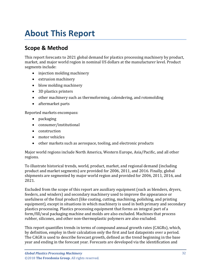# <span id="page-3-0"></span>**About This Report**

# <span id="page-3-1"></span>**Scope & Method**

This report forecasts to 2021 global demand for plastics processing machinery by product, market, and major world region in nominal US dollars at the manufacturer level. Product segments include:

- injection molding machinery
- extrusion machinery
- blow molding machinery
- 3D plastics printers
- other machinery such as thermoforming, calendering, and rotomolding
- aftermarket parts

Reported markets encompass:

- packaging
- consumer/institutional
- construction
- motor vehicles
- other markets such as aerospace, tooling, and electronic products

Major world regions include North America, Western Europe, Asia/Pacific, and all other regions.

To illustrate historical trends, world, product, market, and regional demand (including product and market segments) are provided for 2006, 2011, and 2016. Finally, global shipments are segmented by major world region and provided for 2006, 2011, 2016, and 2021.

Excluded from the scope of this report are auxiliary equipment (such as blenders, dryers, feeders, and winders) and secondary machinery used to improve the appearance or usefulness of the final product (like coating, cutting, machining, polishing, and printing equipment), except in situations in which machinery is used in both primary and secondary plastics processing. Plastics processing equipment that forms an integral part of a form/fill/seal packaging machine and molds are also excluded. Machines that process rubber, silicones, and other non-thermoplastic polymers are also excluded.

This report quantifies trends in terms of compound annual growth rates (CAGRs), which, by definition, employ in their calculation only the first and last datapoints over a period. The CAGR is used to describe forecast growth, defined as the trend beginning in the base year and ending in the forecast year. Forecasts are developed via the identification and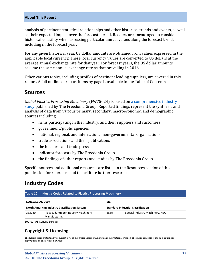#### **About This Report**

analysis of pertinent statistical relationships and other historical trends and events, as well as their expected impact over the forecast period. Readers are encouraged to consider historical volatility when assessing particular annual values along the forecast trend, including in the forecast year.

For any given historical year, US dollar amounts are obtained from values expressed in the applicable local currency. These local currency values are converted to US dollars at the average annual exchange rate for that year. For forecast years, the US dollar amounts assume the same annual exchange rate as that prevailing in 2016.

Other various topics, including profiles of pertinent leading suppliers, are covered in this report. A full outline of report items by page is available in the Table of Contents.

## <span id="page-4-0"></span>**Sources**

*Global Plastics Processing Machinery* (FW75024) is based on [a comprehensive industry](http://www.freedoniagroup.com/DocumentDetails.aspx?ReferrerId=FL-FOCUS&studyid=3603)  [study](http://www.freedoniagroup.com/DocumentDetails.aspx?ReferrerId=FL-FOCUS&studyid=3603) published by The Freedonia Group. Reported findings represent the synthesis and analysis of data from various primary, secondary, macroeconomic, and demographic sources including:

- firms participating in the industry, and their suppliers and customers
- government/public agencies
- national, regional, and international non-governmental organizations
- trade associations and their publications
- the business and trade press
- indicator forecasts by The Freedonia Group
- the findings of other reports and studies by The Freedonia Group

Specific sources and additional resources are listed in the Resources section of this publication for reference and to facilitate further research.

# <span id="page-4-1"></span>**Industry Codes**

<span id="page-4-2"></span>

| <b>Table 10   Industry Codes Related to Plastics Processing Machinery</b> |  |                                                         |  |        |                                                       |      |                                 |
|---------------------------------------------------------------------------|--|---------------------------------------------------------|--|--------|-------------------------------------------------------|------|---------------------------------|
| NAICS/SCIAN 2007<br>North American Industry Classification System         |  | <b>SIC</b><br><b>Standard Industrial Classification</b> |  |        |                                                       |      |                                 |
|                                                                           |  |                                                         |  | 333220 | Plastics & Rubber Industry Machinery<br>Manufacturing | 3559 | Special Industry Machinery, NEC |

Source: US Census Bureau

## **Copyright & Licensing**

The full report is protected by copyright laws of the United States of America and international treaties. The entire contents of the publication are copyrighted by The Freedonia Group.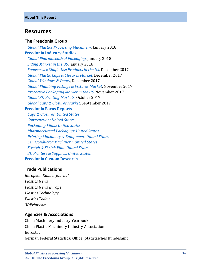## <span id="page-5-0"></span>**Resources**

#### **The Freedonia Group**

 *[Global Plastics Processing Machinery,](http://www.freedoniagroup.com/DocumentDetails.aspx?ReferrerId=FL-FOCUS&studyid=3603)* January 2018 **[Freedonia Industry Studies](http://www.freedoniagroup.com/Home.aspx?ReferrerId=FL-Focus)**  *[Global Pharmaceutical Packaging,](http://www.freedoniagroup.com/DocumentDetails.aspx?ReferrerId=FL-FOCUS&studyid=3591)* January 2018  *[Siding Market in the US](http://www.freedoniagroup.com/DocumentDetails.aspx?ReferrerId=FL-FOCUS&studyid=3602)*, January 2018  *[Foodservice Single-Use Products in the US](http://www.freedoniagroup.com/DocumentDetails.aspx?ReferrerId=FL-FOCUS&studyid=3543)*, December 2017  *[Global Plastic Caps & Closures Market,](http://www.freedoniagroup.com/DocumentDetails.aspx?ReferrerId=FL-FOCUS&studyid=3595)* December 2017 *[Global Windows & Doors](http://www.freedoniagroup.com/DocumentDetails.aspx?ReferrerId=FL-FOCUS&studyid=3588)*, December 2017  *[Global Plumbing Fittings & Fixtures Market,](http://www.freedoniagroup.com/DocumentDetails.aspx?ReferrerId=FL-FOCUS&studyid=3582)* November 2017 *[Protective Packaging Market in the US](http://www.freedoniagroup.com/DocumentDetails.aspx?ReferrerId=FL-FOCUS&studyid=3544)*, November 2017  *[Global 3D Printing Markets,](http://www.freedoniagroup.com/DocumentDetails.aspx?ReferrerId=FL-FOCUS&studyid=3579)* October 2017 *[Global Caps & Closures Market](http://www.freedoniagroup.com/DocumentDetails.aspx?ReferrerId=FL-FOCUS&studyid=3538)*, September 2017

#### **[Freedonia Focus Reports](https://www.freedoniafocusreports.com/redirect.asp?progid=89534&url=/)**

 *[Caps & Closures: United States](https://www.freedoniafocusreports.com/Caps-Closures-United-States-FF30012/) [Construction: United States](https://www.freedoniafocusreports.com/Construction-United-States-FF60054/) [Packaging Films: United States](https://www.freedoniafocusreports.com/Packaging-Films-United-States-FF30065/) [Pharmaceutical Packaging: United States](https://www.freedoniafocusreports.com/Pharmaceutical-Packaging-United-States-FF30018/) [Printing Machinery & Equipment: United States](https://www.freedoniafocusreports.com/Printing-Machinery-Equipment-United-States-FF75026/) [Semiconductor Machinery: United States](https://www.freedoniafocusreports.com/Semiconductor-Machinery-United-States-FF75028/) [Stretch & Shrink Film: United States](https://www.freedoniafocusreports.com/Stretch-Shrink-Film-United-States-FF55026/) [3D Printers & Supplies: United States](https://www.freedoniafocusreports.com/3D-Printers-Supplies-United-States-FF75043/)* **[Freedonia Custom Research](http://www.freedoniagroup.com/CustomResearch.aspx?ReferrerId=FL-Focus)**

#### **Trade Publications**

*European Rubber Journal Plastics News Plastics News Europe Plastics Technology Plastics Today 3DPrint.com*

#### **Agencies & Associations**

China Machinery Industry Yearbook China Plastic Machinery Industry Association Eurostat German Federal Statistical Office (Statistisches Bundesamt)